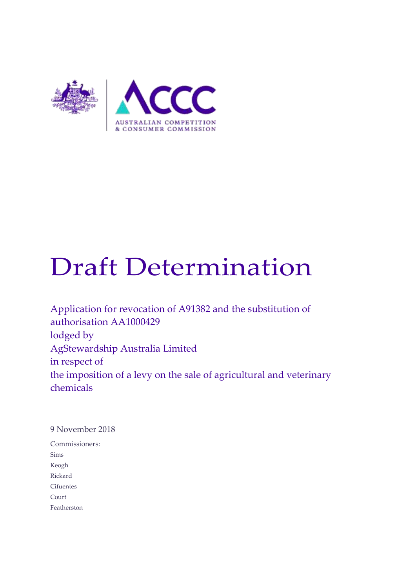

# Draft Determination

Application for revocation of A91382 and the substitution of authorisation AA1000429 lodged by AgStewardship Australia Limited in respect of the imposition of a levy on the sale of agricultural and veterinary chemicals

9 November 2018

Commissioners: Sims Keogh Rickard Cifuentes Court Featherston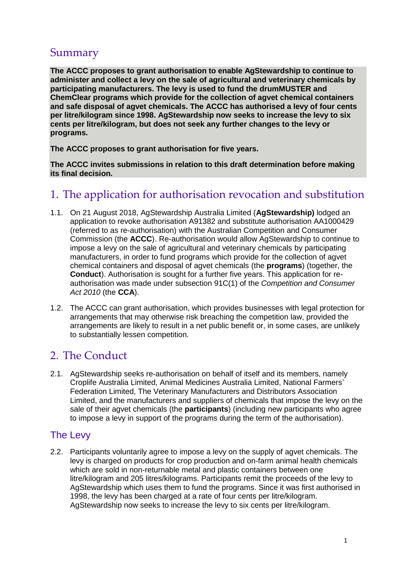# Summary

**The ACCC proposes to grant authorisation to enable AgStewardship to continue to administer and collect a levy on the sale of agricultural and veterinary chemicals by participating manufacturers. The levy is used to fund the drumMUSTER and ChemClear programs which provide for the collection of agvet chemical containers and safe disposal of agvet chemicals. The ACCC has authorised a levy of four cents per litre/kilogram since 1998. AgStewardship now seeks to increase the levy to six cents per litre/kilogram, but does not seek any further changes to the levy or programs.**

**The ACCC proposes to grant authorisation for five years.**

**The ACCC invites submissions in relation to this draft determination before making its final decision.** 

# 1. The application for authorisation revocation and substitution

- 1.1. On 21 August 2018, AgStewardship Australia Limited (**AgStewardship)** lodged an application to revoke authorisation A91382 and substitute authorisation AA1000429 (referred to as re-authorisation) with the Australian Competition and Consumer Commission (the **ACCC**). Re-authorisation would allow AgStewardship to continue to impose a levy on the sale of agricultural and veterinary chemicals by participating manufacturers, in order to fund programs which provide for the collection of agvet chemical containers and disposal of agvet chemicals (the **programs**) (together, the **Conduct**). Authorisation is sought for a further five years. This application for reauthorisation was made under subsection 91C(1) of the *Competition and Consumer Act 2010* (the **CCA**).
- 1.2. The ACCC can grant authorisation, which provides businesses with legal protection for arrangements that may otherwise risk breaching the competition law, provided the arrangements are likely to result in a net public benefit or, in some cases, are unlikely to substantially lessen competition.

# 2. The Conduct

2.1. AgStewardship seeks re-authorisation on behalf of itself and its members, namely Croplife Australia Limited, Animal Medicines Australia Limited, National Farmers' Federation Limited, The Veterinary Manufacturers and Distributors Association Limited, and the manufacturers and suppliers of chemicals that impose the levy on the sale of their agvet chemicals (the **participants**) (including new participants who agree to impose a levy in support of the programs during the term of the authorisation).

# The Levy

2.2. Participants voluntarily agree to impose a levy on the supply of agvet chemicals. The levy is charged on products for crop production and on-farm animal health chemicals which are sold in non-returnable metal and plastic containers between one litre/kilogram and 205 litres/kilograms. Participants remit the proceeds of the levy to AgStewardship which uses them to fund the programs. Since it was first authorised in 1998, the levy has been charged at a rate of four cents per litre/kilogram. AgStewardship now seeks to increase the levy to six cents per litre/kilogram.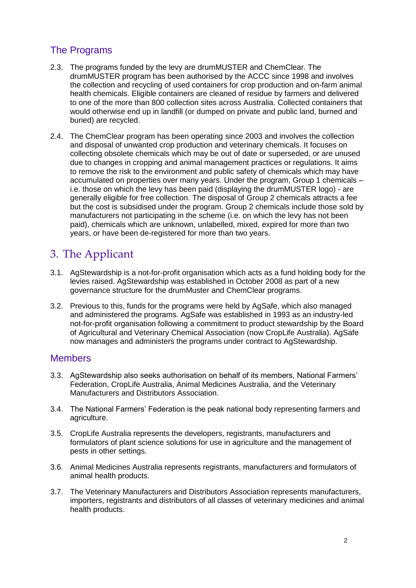# The Programs

- 2.3. The programs funded by the levy are drumMUSTER and ChemClear. The drumMUSTER program has been authorised by the ACCC since 1998 and involves the collection and recycling of used containers for crop production and on-farm animal health chemicals. Eligible containers are cleaned of residue by farmers and delivered to one of the more than 800 collection sites across Australia. Collected containers that would otherwise end up in landfill (or dumped on private and public land, burned and buried) are recycled.
- 2.4. The ChemClear program has been operating since 2003 and involves the collection and disposal of unwanted crop production and veterinary chemicals. It focuses on collecting obsolete chemicals which may be out of date or superseded, or are unused due to changes in cropping and animal management practices or regulations. It aims to remove the risk to the environment and public safety of chemicals which may have accumulated on properties over many years. Under the program, Group 1 chemicals – i.e. those on which the levy has been paid (displaying the drumMUSTER logo) - are generally eligible for free collection. The disposal of Group 2 chemicals attracts a fee but the cost is subsidised under the program. Group 2 chemicals include those sold by manufacturers not participating in the scheme (i.e. on which the levy has not been paid), chemicals which are unknown, unlabelled, mixed, expired for more than two years, or have been de-registered for more than two years.

# 3. The Applicant

- 3.1. AgStewardship is a not-for-profit organisation which acts as a fund holding body for the levies raised. AgStewardship was established in October 2008 as part of a new governance structure for the drumMuster and ChemClear programs.
- 3.2. Previous to this, funds for the programs were held by AgSafe, which also managed and administered the programs. AgSafe was established in 1993 as an industry-led not-for-profit organisation following a commitment to product stewardship by the Board of Agricultural and Veterinary Chemical Association (now CropLife Australia). AgSafe now manages and administers the programs under contract to AgStewardship.

## **Members**

- 3.3. AgStewardship also seeks authorisation on behalf of its members, National Farmers' Federation, CropLife Australia, Animal Medicines Australia, and the Veterinary Manufacturers and Distributors Association.
- 3.4. The National Farmers' Federation is the peak national body representing farmers and agriculture.
- 3.5. CropLife Australia represents the developers, registrants, manufacturers and formulators of plant science solutions for use in agriculture and the management of pests in other settings.
- 3.6. Animal Medicines Australia represents registrants, manufacturers and formulators of animal health products.
- 3.7. The Veterinary Manufacturers and Distributors Association represents manufacturers, importers, registrants and distributors of all classes of veterinary medicines and animal health products.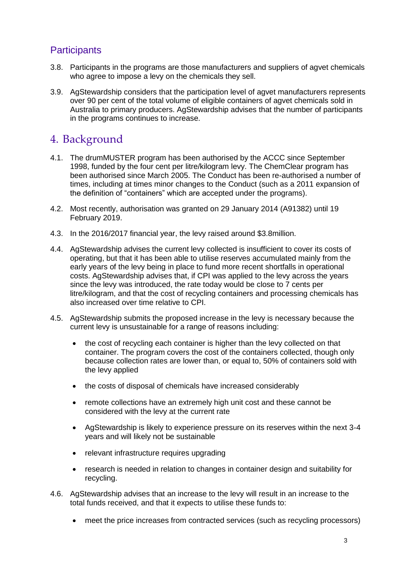# **Participants**

- 3.8. Participants in the programs are those manufacturers and suppliers of agvet chemicals who agree to impose a levy on the chemicals they sell.
- 3.9. AgStewardship considers that the participation level of agvet manufacturers represents over 90 per cent of the total volume of eligible containers of agvet chemicals sold in Australia to primary producers. AgStewardship advises that the number of participants in the programs continues to increase.

# 4. Background

- 4.1. The drumMUSTER program has been authorised by the ACCC since September 1998, funded by the four cent per litre/kilogram levy. The ChemClear program has been authorised since March 2005. The Conduct has been re-authorised a number of times, including at times minor changes to the Conduct (such as a 2011 expansion of the definition of "containers" which are accepted under the programs).
- 4.2. Most recently, authorisation was granted on 29 January 2014 (A91382) until 19 February 2019.
- 4.3. In the 2016/2017 financial year, the levy raised around \$3.8million.
- 4.4. AgStewardship advises the current levy collected is insufficient to cover its costs of operating, but that it has been able to utilise reserves accumulated mainly from the early years of the levy being in place to fund more recent shortfalls in operational costs. AgStewardship advises that, if CPI was applied to the levy across the years since the levy was introduced, the rate today would be close to 7 cents per litre/kilogram, and that the cost of recycling containers and processing chemicals has also increased over time relative to CPI.
- 4.5. AgStewardship submits the proposed increase in the levy is necessary because the current levy is unsustainable for a range of reasons including:
	- the cost of recycling each container is higher than the levy collected on that container. The program covers the cost of the containers collected, though only because collection rates are lower than, or equal to, 50% of containers sold with the levy applied
	- the costs of disposal of chemicals have increased considerably
	- remote collections have an extremely high unit cost and these cannot be considered with the levy at the current rate
	- AgStewardship is likely to experience pressure on its reserves within the next 3-4 years and will likely not be sustainable
	- relevant infrastructure requires upgrading
	- research is needed in relation to changes in container design and suitability for recycling.
- 4.6. AgStewardship advises that an increase to the levy will result in an increase to the total funds received, and that it expects to utilise these funds to:
	- meet the price increases from contracted services (such as recycling processors)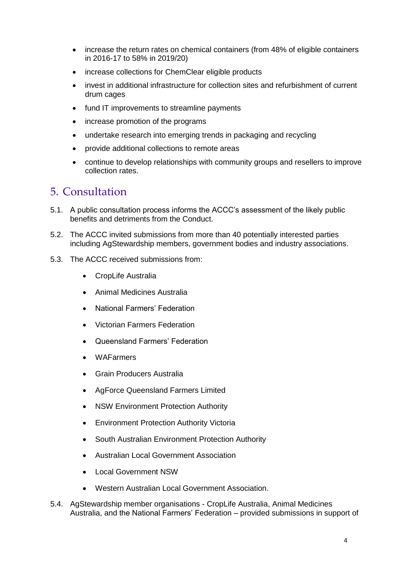- increase the return rates on chemical containers (from 48% of eligible containers in 2016-17 to 58% in 2019/20)
- increase collections for ChemClear eligible products
- invest in additional infrastructure for collection sites and refurbishment of current drum cages
- fund IT improvements to streamline payments
- increase promotion of the programs
- undertake research into emerging trends in packaging and recycling
- provide additional collections to remote areas
- continue to develop relationships with community groups and resellers to improve collection rates.

# 5. Consultation

- 5.1. A public consultation process informs the ACCC's assessment of the likely public benefits and detriments from the Conduct.
- 5.2. The ACCC invited submissions from more than 40 potentially interested parties including AgStewardship members, government bodies and industry associations.
- 5.3. The ACCC received submissions from:
	- CropLife Australia
	- Animal Medicines Australia
	- National Farmers' Federation
	- Victorian Farmers Federation
	- Queensland Farmers' Federation
	- WAFarmers
	- Grain Producers Australia
	- AgForce Queensland Farmers Limited
	- NSW Environment Protection Authority
	- Environment Protection Authority Victoria
	- South Australian Environment Protection Authority
	- Australian Local Government Association
	- Local Government NSW
	- Western Australian Local Government Association.
- 5.4. AgStewardship member organisations CropLife Australia, Animal Medicines Australia, and the National Farmers' Federation – provided submissions in support of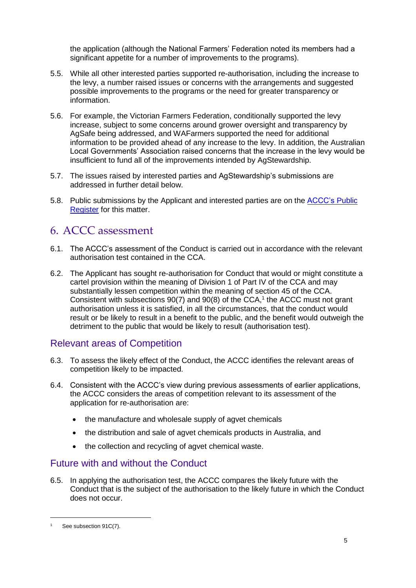the application (although the National Farmers' Federation noted its members had a significant appetite for a number of improvements to the programs).

- 5.5. While all other interested parties supported re-authorisation, including the increase to the levy, a number raised issues or concerns with the arrangements and suggested possible improvements to the programs or the need for greater transparency or information.
- 5.6. For example, the Victorian Farmers Federation, conditionally supported the levy increase, subject to some concerns around grower oversight and transparency by AgSafe being addressed, and WAFarmers supported the need for additional information to be provided ahead of any increase to the levy. In addition, the Australian Local Governments' Association raised concerns that the increase in the levy would be insufficient to fund all of the improvements intended by AgStewardship.
- 5.7. The issues raised by interested parties and AgStewardship's submissions are addressed in further detail below.
- 5.8. Public submissions by the Applicant and interested parties are on the [ACCC's Public](https://www.accc.gov.au/public-registers/authorisations-and-notifications-registers/authorisations-register/agstewardship-australia-limited)  [Register](https://www.accc.gov.au/public-registers/authorisations-and-notifications-registers/authorisations-register/agstewardship-australia-limited) for this matter.

# 6. ACCC assessment

- 6.1. The ACCC's assessment of the Conduct is carried out in accordance with the relevant authorisation test contained in the CCA.
- 6.2. The Applicant has sought re-authorisation for Conduct that would or might constitute a cartel provision within the meaning of Division 1 of Part IV of the CCA and may substantially lessen competition within the meaning of section 45 of the CCA. Consistent with subsections  $90(7)$  and  $90(8)$  of the CCA,<sup>1</sup> the ACCC must not grant authorisation unless it is satisfied, in all the circumstances, that the conduct would result or be likely to result in a benefit to the public, and the benefit would outweigh the detriment to the public that would be likely to result (authorisation test).

## Relevant areas of Competition

- 6.3. To assess the likely effect of the Conduct, the ACCC identifies the relevant areas of competition likely to be impacted.
- 6.4. Consistent with the ACCC's view during previous assessments of earlier applications, the ACCC considers the areas of competition relevant to its assessment of the application for re-authorisation are:
	- the manufacture and wholesale supply of agvet chemicals
	- the distribution and sale of agvet chemicals products in Australia, and
	- the collection and recycling of agvet chemical waste.

## Future with and without the Conduct

6.5. In applying the authorisation test, the ACCC compares the likely future with the Conduct that is the subject of the authorisation to the likely future in which the Conduct does not occur.

-

<sup>&</sup>lt;sup>1</sup> See subsection 91C(7).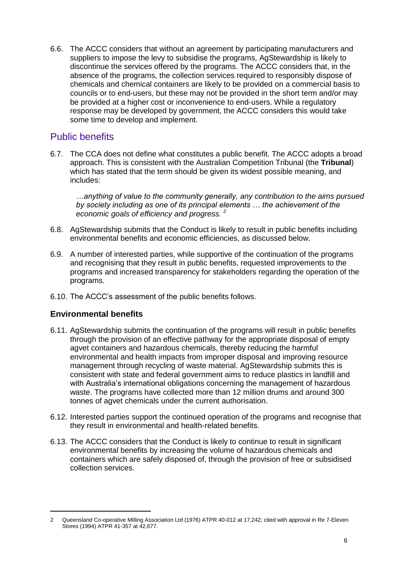6.6. The ACCC considers that without an agreement by participating manufacturers and suppliers to impose the levy to subsidise the programs, AgStewardship is likely to discontinue the services offered by the programs. The ACCC considers that, in the absence of the programs, the collection services required to responsibly dispose of chemicals and chemical containers are likely to be provided on a commercial basis to councils or to end-users, but these may not be provided in the short term and/or may be provided at a higher cost or inconvenience to end-users. While a regulatory response may be developed by government, the ACCC considers this would take some time to develop and implement.

## Public benefits

6.7. The CCA does not define what constitutes a public benefit. The ACCC adopts a broad approach. This is consistent with the Australian Competition Tribunal (the **Tribunal**) which has stated that the term should be given its widest possible meaning, and includes:

*…anything of value to the community generally, any contribution to the aims pursued by society including as one of its principal elements … the achievement of the economic goals of efficiency and progress. <sup>2</sup>*

- 6.8. AgStewardship submits that the Conduct is likely to result in public benefits including environmental benefits and economic efficiencies, as discussed below.
- 6.9. A number of interested parties, while supportive of the continuation of the programs and recognising that they result in public benefits, requested improvements to the programs and increased transparency for stakeholders regarding the operation of the programs.
- 6.10. The ACCC's assessment of the public benefits follows.

#### **Environmental benefits**

-

- 6.11. AgStewardship submits the continuation of the programs will result in public benefits through the provision of an effective pathway for the appropriate disposal of empty agvet containers and hazardous chemicals, thereby reducing the harmful environmental and health impacts from improper disposal and improving resource management through recycling of waste material. AgStewardship submits this is consistent with state and federal government aims to reduce plastics in landfill and with Australia's international obligations concerning the management of hazardous waste. The programs have collected more than 12 million drums and around 300 tonnes of agvet chemicals under the current authorisation.
- 6.12. Interested parties support the continued operation of the programs and recognise that they result in environmental and health-related benefits.
- 6.13. The ACCC considers that the Conduct is likely to continue to result in significant environmental benefits by increasing the volume of hazardous chemicals and containers which are safely disposed of, through the provision of free or subsidised collection services.

<sup>2</sup> Queensland Co-operative Milling Association Ltd (1976) ATPR 40-012 at 17,242; cited with approval in Re 7-Eleven Stores (1994) ATPR 41-357 at 42,677.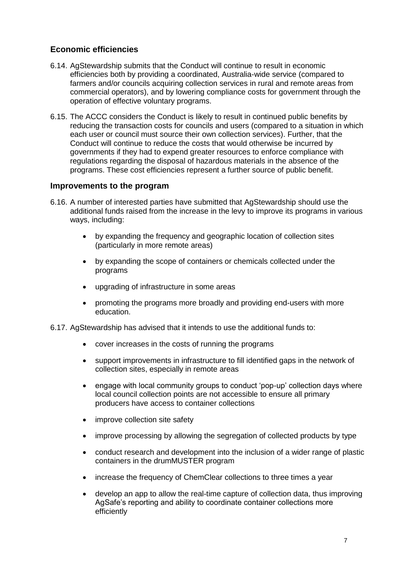#### **Economic efficiencies**

- 6.14. AgStewardship submits that the Conduct will continue to result in economic efficiencies both by providing a coordinated, Australia-wide service (compared to farmers and/or councils acquiring collection services in rural and remote areas from commercial operators), and by lowering compliance costs for government through the operation of effective voluntary programs.
- 6.15. The ACCC considers the Conduct is likely to result in continued public benefits by reducing the transaction costs for councils and users (compared to a situation in which each user or council must source their own collection services). Further, that the Conduct will continue to reduce the costs that would otherwise be incurred by governments if they had to expend greater resources to enforce compliance with regulations regarding the disposal of hazardous materials in the absence of the programs. These cost efficiencies represent a further source of public benefit.

#### **Improvements to the program**

- 6.16. A number of interested parties have submitted that AgStewardship should use the additional funds raised from the increase in the levy to improve its programs in various ways, including:
	- by expanding the frequency and geographic location of collection sites (particularly in more remote areas)
	- by expanding the scope of containers or chemicals collected under the programs
	- upgrading of infrastructure in some areas
	- promoting the programs more broadly and providing end-users with more education.
- 6.17. AgStewardship has advised that it intends to use the additional funds to:
	- cover increases in the costs of running the programs
	- support improvements in infrastructure to fill identified gaps in the network of collection sites, especially in remote areas
	- engage with local community groups to conduct 'pop-up' collection days where local council collection points are not accessible to ensure all primary producers have access to container collections
	- improve collection site safety
	- improve processing by allowing the segregation of collected products by type
	- conduct research and development into the inclusion of a wider range of plastic containers in the drumMUSTER program
	- increase the frequency of ChemClear collections to three times a year
	- develop an app to allow the real-time capture of collection data, thus improving AgSafe's reporting and ability to coordinate container collections more efficiently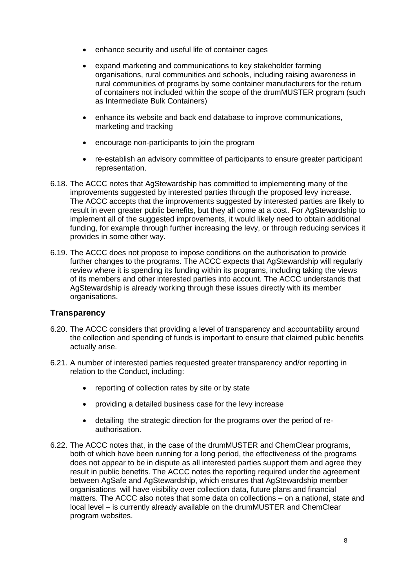- enhance security and useful life of container cages
- expand marketing and communications to key stakeholder farming organisations, rural communities and schools, including raising awareness in rural communities of programs by some container manufacturers for the return of containers not included within the scope of the drumMUSTER program (such as Intermediate Bulk Containers)
- enhance its website and back end database to improve communications, marketing and tracking
- encourage non-participants to join the program
- re-establish an advisory committee of participants to ensure greater participant representation.
- 6.18. The ACCC notes that AgStewardship has committed to implementing many of the improvements suggested by interested parties through the proposed levy increase. The ACCC accepts that the improvements suggested by interested parties are likely to result in even greater public benefits, but they all come at a cost. For AgStewardship to implement all of the suggested improvements, it would likely need to obtain additional funding, for example through further increasing the levy, or through reducing services it provides in some other way.
- 6.19. The ACCC does not propose to impose conditions on the authorisation to provide further changes to the programs. The ACCC expects that AgStewardship will regularly review where it is spending its funding within its programs, including taking the views of its members and other interested parties into account. The ACCC understands that AgStewardship is already working through these issues directly with its member organisations.

#### **Transparency**

- 6.20. The ACCC considers that providing a level of transparency and accountability around the collection and spending of funds is important to ensure that claimed public benefits actually arise.
- 6.21. A number of interested parties requested greater transparency and/or reporting in relation to the Conduct, including:
	- reporting of collection rates by site or by state
	- providing a detailed business case for the levy increase
	- detailing the strategic direction for the programs over the period of reauthorisation.
- 6.22. The ACCC notes that, in the case of the drumMUSTER and ChemClear programs, both of which have been running for a long period, the effectiveness of the programs does not appear to be in dispute as all interested parties support them and agree they result in public benefits. The ACCC notes the reporting required under the agreement between AgSafe and AgStewardship, which ensures that AgStewardship member organisations will have visibility over collection data, future plans and financial matters. The ACCC also notes that some data on collections – on a national, state and local level – is currently already available on the drumMUSTER and ChemClear program websites.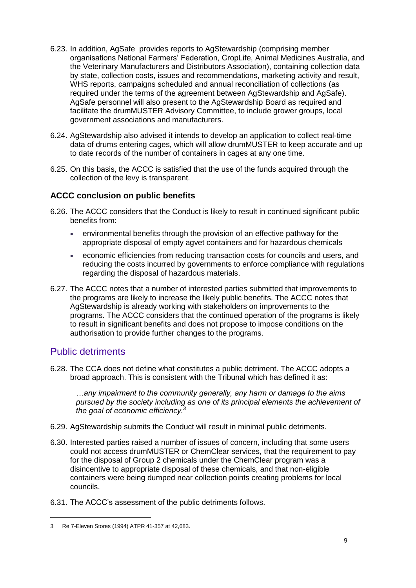- 6.23. In addition, AgSafe provides reports to AgStewardship (comprising member organisations National Farmers' Federation, CropLife, Animal Medicines Australia, and the Veterinary Manufacturers and Distributors Association), containing collection data by state, collection costs, issues and recommendations, marketing activity and result, WHS reports, campaigns scheduled and annual reconciliation of collections (as required under the terms of the agreement between AgStewardship and AgSafe). AgSafe personnel will also present to the AgStewardship Board as required and facilitate the drumMUSTER Advisory Committee, to include grower groups, local government associations and manufacturers.
- 6.24. AgStewardship also advised it intends to develop an application to collect real-time data of drums entering cages, which will allow drumMUSTER to keep accurate and up to date records of the number of containers in cages at any one time.
- 6.25. On this basis, the ACCC is satisfied that the use of the funds acquired through the collection of the levy is transparent.

#### **ACCC conclusion on public benefits**

- 6.26. The ACCC considers that the Conduct is likely to result in continued significant public benefits from:
	- environmental benefits through the provision of an effective pathway for the appropriate disposal of empty agvet containers and for hazardous chemicals
	- economic efficiencies from reducing transaction costs for councils and users, and reducing the costs incurred by governments to enforce compliance with regulations regarding the disposal of hazardous materials.
- 6.27. The ACCC notes that a number of interested parties submitted that improvements to the programs are likely to increase the likely public benefits. The ACCC notes that AgStewardship is already working with stakeholders on improvements to the programs. The ACCC considers that the continued operation of the programs is likely to result in significant benefits and does not propose to impose conditions on the authorisation to provide further changes to the programs.

## Public detriments

-

6.28. The CCA does not define what constitutes a public detriment. The ACCC adopts a broad approach. This is consistent with the Tribunal which has defined it as:

*…any impairment to the community generally, any harm or damage to the aims pursued by the society including as one of its principal elements the achievement of the goal of economic efficiency.<sup>3</sup>*

- 6.29. AgStewardship submits the Conduct will result in minimal public detriments.
- 6.30. Interested parties raised a number of issues of concern, including that some users could not access drumMUSTER or ChemClear services, that the requirement to pay for the disposal of Group 2 chemicals under the ChemClear program was a disincentive to appropriate disposal of these chemicals, and that non-eligible containers were being dumped near collection points creating problems for local councils.
- 6.31. The ACCC's assessment of the public detriments follows.

<sup>3</sup> Re 7-Eleven Stores (1994) ATPR 41-357 at 42,683.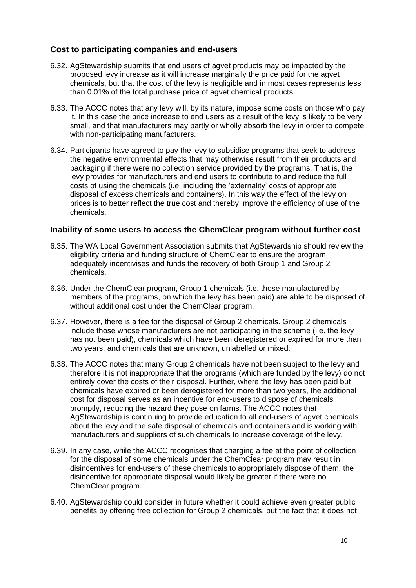#### **Cost to participating companies and end-users**

- 6.32. AgStewardship submits that end users of agvet products may be impacted by the proposed levy increase as it will increase marginally the price paid for the agvet chemicals, but that the cost of the levy is negligible and in most cases represents less than 0.01% of the total purchase price of agvet chemical products.
- 6.33. The ACCC notes that any levy will, by its nature, impose some costs on those who pay it. In this case the price increase to end users as a result of the levy is likely to be very small, and that manufacturers may partly or wholly absorb the levy in order to compete with non-participating manufacturers.
- 6.34. Participants have agreed to pay the levy to subsidise programs that seek to address the negative environmental effects that may otherwise result from their products and packaging if there were no collection service provided by the programs. That is, the levy provides for manufacturers and end users to contribute to and reduce the full costs of using the chemicals (i.e. including the 'externality' costs of appropriate disposal of excess chemicals and containers). In this way the effect of the levy on prices is to better reflect the true cost and thereby improve the efficiency of use of the chemicals.

#### **Inability of some users to access the ChemClear program without further cost**

- 6.35. The WA Local Government Association submits that AgStewardship should review the eligibility criteria and funding structure of ChemClear to ensure the program adequately incentivises and funds the recovery of both Group 1 and Group 2 chemicals.
- 6.36. Under the ChemClear program, Group 1 chemicals (i.e. those manufactured by members of the programs, on which the levy has been paid) are able to be disposed of without additional cost under the ChemClear program.
- 6.37. However, there is a fee for the disposal of Group 2 chemicals. Group 2 chemicals include those whose manufacturers are not participating in the scheme (i.e. the levy has not been paid), chemicals which have been deregistered or expired for more than two years, and chemicals that are unknown, unlabelled or mixed.
- 6.38. The ACCC notes that many Group 2 chemicals have not been subject to the levy and therefore it is not inappropriate that the programs (which are funded by the levy) do not entirely cover the costs of their disposal. Further, where the levy has been paid but chemicals have expired or been deregistered for more than two years, the additional cost for disposal serves as an incentive for end-users to dispose of chemicals promptly, reducing the hazard they pose on farms. The ACCC notes that AgStewardship is continuing to provide education to all end-users of agvet chemicals about the levy and the safe disposal of chemicals and containers and is working with manufacturers and suppliers of such chemicals to increase coverage of the levy.
- 6.39. In any case, while the ACCC recognises that charging a fee at the point of collection for the disposal of some chemicals under the ChemClear program may result in disincentives for end-users of these chemicals to appropriately dispose of them, the disincentive for appropriate disposal would likely be greater if there were no ChemClear program.
- 6.40. AgStewardship could consider in future whether it could achieve even greater public benefits by offering free collection for Group 2 chemicals, but the fact that it does not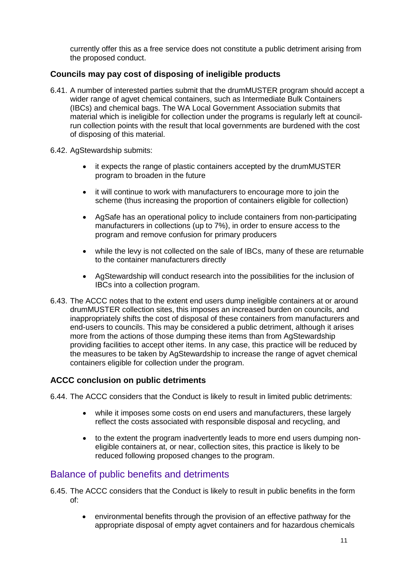currently offer this as a free service does not constitute a public detriment arising from the proposed conduct.

#### **Councils may pay cost of disposing of ineligible products**

- 6.41. A number of interested parties submit that the drumMUSTER program should accept a wider range of agvet chemical containers, such as Intermediate Bulk Containers (IBCs) and chemical bags. The WA Local Government Association submits that material which is ineligible for collection under the programs is regularly left at councilrun collection points with the result that local governments are burdened with the cost of disposing of this material.
- 6.42. AgStewardship submits:
	- it expects the range of plastic containers accepted by the drumMUSTER program to broaden in the future
	- it will continue to work with manufacturers to encourage more to join the scheme (thus increasing the proportion of containers eligible for collection)
	- AgSafe has an operational policy to include containers from non-participating manufacturers in collections (up to 7%), in order to ensure access to the program and remove confusion for primary producers
	- while the levy is not collected on the sale of IBCs, many of these are returnable to the container manufacturers directly
	- AgStewardship will conduct research into the possibilities for the inclusion of IBCs into a collection program.
- 6.43. The ACCC notes that to the extent end users dump ineligible containers at or around drumMUSTER collection sites, this imposes an increased burden on councils, and inappropriately shifts the cost of disposal of these containers from manufacturers and end-users to councils. This may be considered a public detriment, although it arises more from the actions of those dumping these items than from AgStewardship providing facilities to accept other items. In any case, this practice will be reduced by the measures to be taken by AgStewardship to increase the range of agvet chemical containers eligible for collection under the program.

#### **ACCC conclusion on public detriments**

6.44. The ACCC considers that the Conduct is likely to result in limited public detriments:

- while it imposes some costs on end users and manufacturers, these largely reflect the costs associated with responsible disposal and recycling, and
- to the extent the program inadvertently leads to more end users dumping noneligible containers at, or near, collection sites, this practice is likely to be reduced following proposed changes to the program.

## Balance of public benefits and detriments

- 6.45. The ACCC considers that the Conduct is likely to result in public benefits in the form of:
	- environmental benefits through the provision of an effective pathway for the appropriate disposal of empty agvet containers and for hazardous chemicals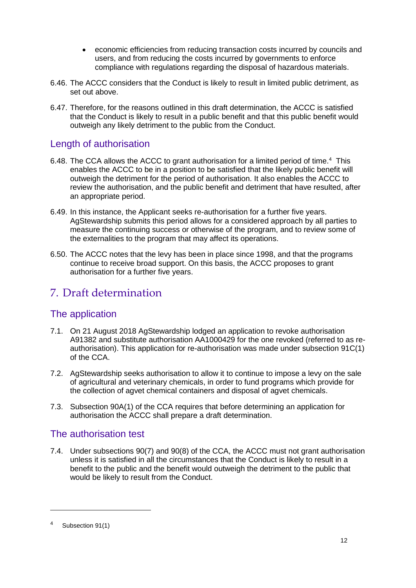- economic efficiencies from reducing transaction costs incurred by councils and users, and from reducing the costs incurred by governments to enforce compliance with regulations regarding the disposal of hazardous materials.
- 6.46. The ACCC considers that the Conduct is likely to result in limited public detriment, as set out above.
- 6.47. Therefore, for the reasons outlined in this draft determination, the ACCC is satisfied that the Conduct is likely to result in a public benefit and that this public benefit would outweigh any likely detriment to the public from the Conduct.

## Length of authorisation

- 6.48. The CCA allows the ACCC to grant authorisation for a limited period of time.<sup>4</sup> This enables the ACCC to be in a position to be satisfied that the likely public benefit will outweigh the detriment for the period of authorisation. It also enables the ACCC to review the authorisation, and the public benefit and detriment that have resulted, after an appropriate period.
- 6.49. In this instance, the Applicant seeks re-authorisation for a further five years. AgStewardship submits this period allows for a considered approach by all parties to measure the continuing success or otherwise of the program, and to review some of the externalities to the program that may affect its operations.
- 6.50. The ACCC notes that the levy has been in place since 1998, and that the programs continue to receive broad support. On this basis, the ACCC proposes to grant authorisation for a further five years.

# 7. Draft determination

# The application

- 7.1. On 21 August 2018 AgStewardship lodged an application to revoke authorisation A91382 and substitute authorisation AA1000429 for the one revoked (referred to as reauthorisation). This application for re-authorisation was made under subsection 91C(1) of the CCA.
- 7.2. AgStewardship seeks authorisation to allow it to continue to impose a levy on the sale of agricultural and veterinary chemicals, in order to fund programs which provide for the collection of agvet chemical containers and disposal of agvet chemicals.
- 7.3. Subsection 90A(1) of the CCA requires that before determining an application for authorisation the ACCC shall prepare a draft determination.

## The authorisation test

7.4. Under subsections 90(7) and 90(8) of the CCA, the ACCC must not grant authorisation unless it is satisfied in all the circumstances that the Conduct is likely to result in a benefit to the public and the benefit would outweigh the detriment to the public that would be likely to result from the Conduct.

-

<sup>4</sup> Subsection 91(1)